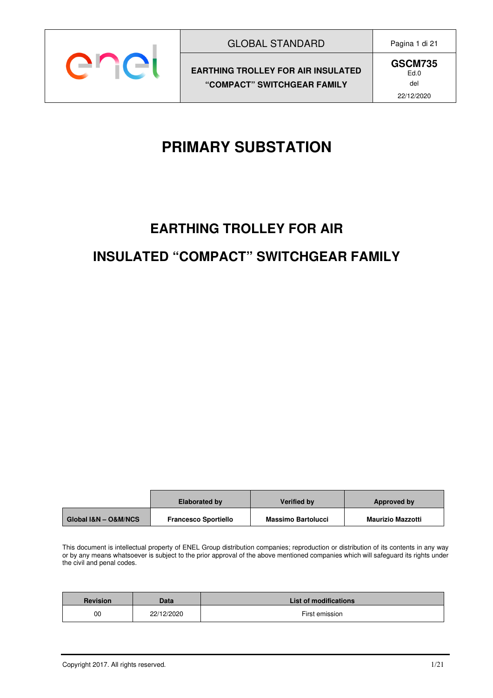

**GSCM735** Ed.0 del 22/12/2020

# **PRIMARY SUBSTATION**

# **EARTHING TROLLEY FOR AIR INSULATED "COMPACT" SWITCHGEAR FAMILY**

|                      | <b>Elaborated by</b>        | <b>Verified by</b>        | Approved by              |
|----------------------|-----------------------------|---------------------------|--------------------------|
| Global I&N - O&M/NCS | <b>Francesco Sportiello</b> | <b>Massimo Bartolucci</b> | <b>Maurizio Mazzotti</b> |

This document is intellectual property of ENEL Group distribution companies; reproduction or distribution of its contents in any way or by any means whatsoever is subject to the prior approval of the above mentioned companies which will safeguard its rights under the civil and penal codes.

| <b>Revision</b> | Data       | <b>List of modifications</b> |
|-----------------|------------|------------------------------|
| 00              | 22/12/2020 | First emission               |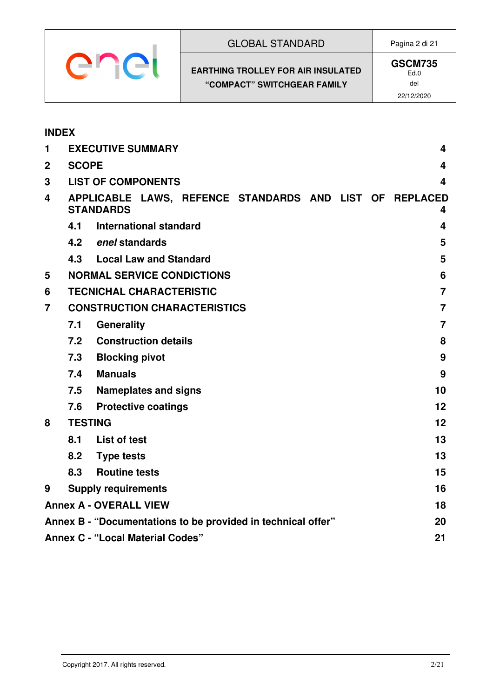| <b>GLOBAL STANDARD</b>                                                   | Pagina 2 di 21                              |
|--------------------------------------------------------------------------|---------------------------------------------|
| <b>EARTHING TROLLEY FOR AIR INSULATED</b><br>"COMPACT" SWITCHGEAR FAMILY | <b>GSCM735</b><br>Ed.0<br>del<br>22/12/2020 |

| <b>INDEX</b>                                                       |                                               |                                                                             |  |                |
|--------------------------------------------------------------------|-----------------------------------------------|-----------------------------------------------------------------------------|--|----------------|
| 1                                                                  |                                               | <b>EXECUTIVE SUMMARY</b>                                                    |  | 4              |
| $\mathbf{2}$                                                       | <b>SCOPE</b><br>4                             |                                                                             |  |                |
| 3                                                                  |                                               | <b>LIST OF COMPONENTS</b>                                                   |  | 4              |
| 4                                                                  |                                               | APPLICABLE LAWS, REFENCE STANDARDS AND LIST OF REPLACED<br><b>STANDARDS</b> |  | 4              |
|                                                                    | 4.1                                           | International standard                                                      |  | 4              |
|                                                                    |                                               | 4.2 enel standards                                                          |  | 5              |
|                                                                    |                                               | 4.3 Local Law and Standard                                                  |  | 5              |
| 5                                                                  |                                               | <b>NORMAL SERVICE CONDICTIONS</b>                                           |  | 6              |
| 6                                                                  |                                               | <b>TECNICHAL CHARACTERISTIC</b>                                             |  | $\overline{7}$ |
| 7                                                                  |                                               | <b>CONSTRUCTION CHARACTERISTICS</b>                                         |  | $\overline{7}$ |
|                                                                    | 7.1                                           | <b>Generality</b>                                                           |  | $\overline{7}$ |
|                                                                    | 7.2                                           | <b>Construction details</b>                                                 |  | 8              |
|                                                                    | 7.3                                           | <b>Blocking pivot</b>                                                       |  | 9              |
|                                                                    | 7.4                                           | <b>Manuals</b>                                                              |  | 9              |
|                                                                    | 7.5                                           | <b>Nameplates and signs</b>                                                 |  | 10             |
|                                                                    | 7.6                                           | <b>Protective coatings</b>                                                  |  | 12             |
| 8                                                                  | <b>TESTING</b>                                |                                                                             |  | 12             |
|                                                                    | 8.1                                           | List of test                                                                |  | 13             |
|                                                                    |                                               | 8.2 Type tests                                                              |  | 13             |
|                                                                    | 8.3                                           | <b>Routine tests</b>                                                        |  | 15             |
| 9                                                                  |                                               | <b>Supply requirements</b>                                                  |  | 16             |
|                                                                    |                                               | <b>Annex A - OVERALL VIEW</b>                                               |  | 18             |
| Annex B - "Documentations to be provided in technical offer"<br>20 |                                               |                                                                             |  |                |
|                                                                    | <b>Annex C - "Local Material Codes"</b><br>21 |                                                                             |  |                |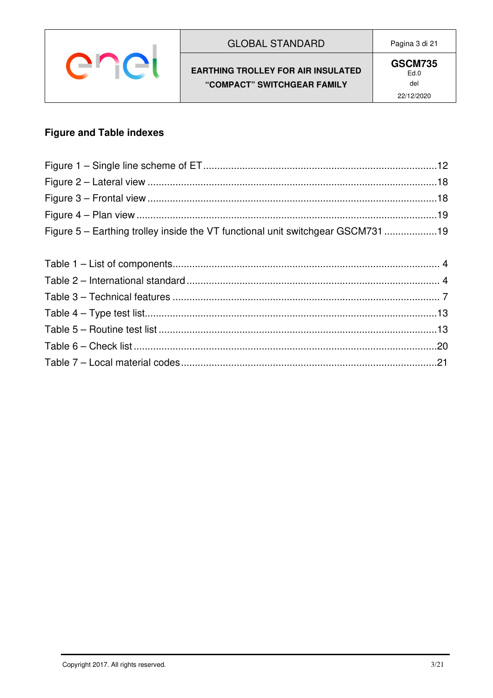| enet |
|------|
|------|

#### **GLOBAL STANDARD**

#### Pagina 3 di 21

#### **EARTHING TROLLEY FOR AIR INSULATED** "COMPACT" SWITCHGEAR FAMILY

### **Figure and Table indexes**

| Figure 5 – Earthing trolley inside the VT functional unit switchgear GSCM73119 |  |
|--------------------------------------------------------------------------------|--|
|                                                                                |  |
|                                                                                |  |
|                                                                                |  |
|                                                                                |  |
|                                                                                |  |
|                                                                                |  |
|                                                                                |  |
|                                                                                |  |
|                                                                                |  |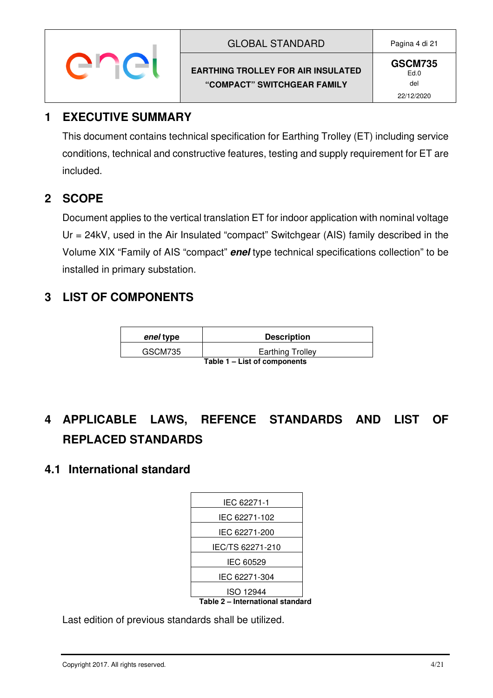| <b>GLOBAL STANDARD</b>                    |
|-------------------------------------------|
| <b>EARTHING TROLLEY FOR AIR INSULATED</b> |
| "COMPACT" SWITCHGEAR FAMILY               |

**GSCM735** Ed.0 del 22/12/2020

### **1 EXECUTIVE SUMMARY**

This document contains technical specification for Earthing Trolley (ET) including service conditions, technical and constructive features, testing and supply requirement for ET are included.

# **2 SCOPE**

Document applies to the vertical translation ET for indoor application with nominal voltage Ur = 24kV, used in the Air Insulated "compact" Switchgear (AIS) family described in the Volume XIX "Family of AIS "compact" **enel** type technical specifications collection" to be installed in primary substation.

# **3 LIST OF COMPONENTS**

| enel type                    | <b>Description</b>      |
|------------------------------|-------------------------|
| GSCM735                      | <b>Earthing Trolley</b> |
| Table 1 – List of components |                         |

# **4 APPLICABLE LAWS, REFENCE STANDARDS AND LIST OF REPLACED STANDARDS**

#### **4.1 International standard**

| IEC 62271-1                      |  |
|----------------------------------|--|
| IEC 62271-102                    |  |
| IEC 62271-200                    |  |
| IEC/TS 62271-210                 |  |
| IEC 60529                        |  |
| IEC 62271-304                    |  |
| ISO 12944                        |  |
| Table 2 - International standard |  |

Last edition of previous standards shall be utilized.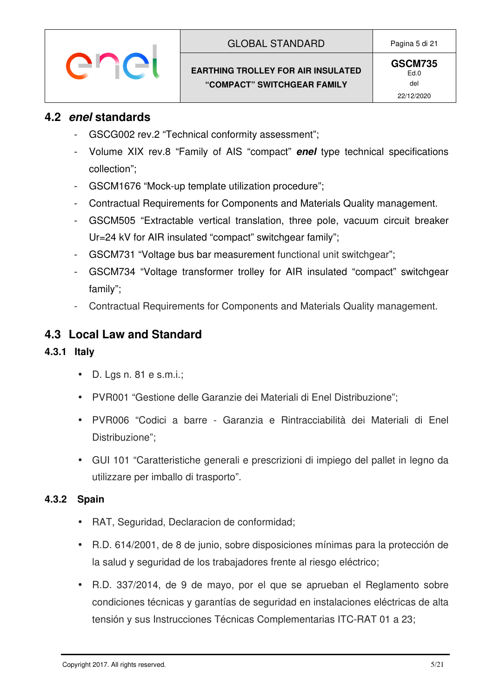#### **4.2 enel standards**

ener

- GSCG002 rev.2 "Technical conformity assessment";
- Volume XIX rev.8 "Family of AIS "compact" **enel** type technical specifications collection";
- GSCM1676 "Mock-up template utilization procedure";
- Contractual Requirements for Components and Materials Quality management.
- GSCM505 "Extractable vertical translation, three pole, vacuum circuit breaker Ur=24 kV for AIR insulated "compact" switchgear family";
- GSCM731 "Voltage bus bar measurement functional unit switchgear";
- GSCM734 "Voltage transformer trolley for AIR insulated "compact" switchgear family";
- Contractual Requirements for Components and Materials Quality management.

# **4.3 Local Law and Standard**

#### **4.3.1 Italy**

- $\bullet$  D. Lgs n. 81 e s.m.i.;
- PVR001 "Gestione delle Garanzie dei Materiali di Enel Distribuzione";
- PVR006 "Codici a barre Garanzia e Rintracciabilità dei Materiali di Enel Distribuzione";
- GUI 101 "Caratteristiche generali e prescrizioni di impiego del pallet in legno da utilizzare per imballo di trasporto".

#### **4.3.2 Spain**

- RAT, Seguridad, Declaracion de conformidad;
- R.D. 614/2001, de 8 de junio, sobre disposiciones mínimas para la protección de la salud y seguridad de los trabajadores frente al riesgo eléctrico;
- R.D. 337/2014, de 9 de mayo, por el que se aprueban el Reglamento sobre condiciones técnicas y garantías de seguridad en instalaciones eléctricas de alta tensión y sus Instrucciones Técnicas Complementarias ITC-RAT 01 a 23;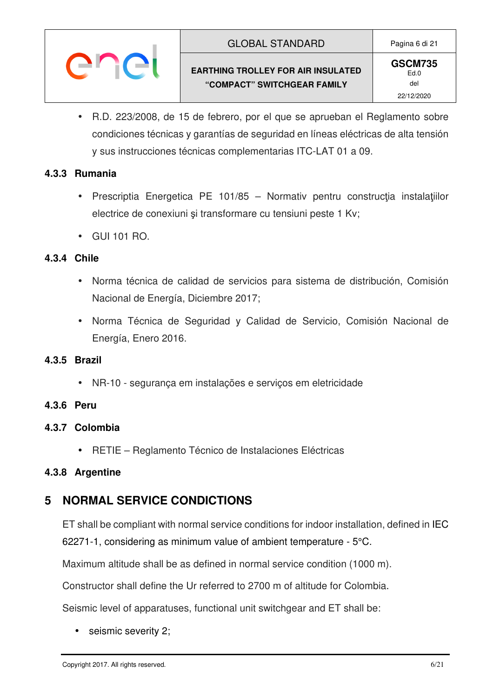#### GLOBAL STANDARD Pagina 6 di 21

#### **EARTHING TROLLEY FOR AIR INSULATED "COMPACT" SWITCHGEAR FAMILY**

• R.D. 223/2008, de 15 de febrero, por el que se aprueban el Reglamento sobre condiciones técnicas y garantías de seguridad en líneas eléctricas de alta tensión y sus instrucciones técnicas complementarias ITC-LAT 01 a 09.

#### **4.3.3 Rumania**

- Prescriptia Energetica PE 101/85 Normativ pentru construcția instalațiilor electrice de conexiuni şi transformare cu tensiuni peste 1 Kv;
- GUI 101 RO.

enei

#### **4.3.4 Chile**

- Norma técnica de calidad de servicios para sistema de distribución, Comisión Nacional de Energía, Diciembre 2017;
- Norma Técnica de Seguridad y Calidad de Servicio, Comisión Nacional de Energía, Enero 2016.

#### **4.3.5 Brazil**

• NR-10 - segurança em instalações e serviços em eletricidade

#### **4.3.6 Peru**

- **4.3.7 Colombia** 
	- RETIE Reglamento Técnico de Instalaciones Eléctricas

#### **4.3.8 Argentine**

# **5 NORMAL SERVICE CONDICTIONS**

ET shall be compliant with normal service conditions for indoor installation, defined in IEC 62271-1, considering as minimum value of ambient temperature - 5°C.

Maximum altitude shall be as defined in normal service condition (1000 m).

Constructor shall define the Ur referred to 2700 m of altitude for Colombia.

Seismic level of apparatuses, functional unit switchgear and ET shall be:

seismic severity 2;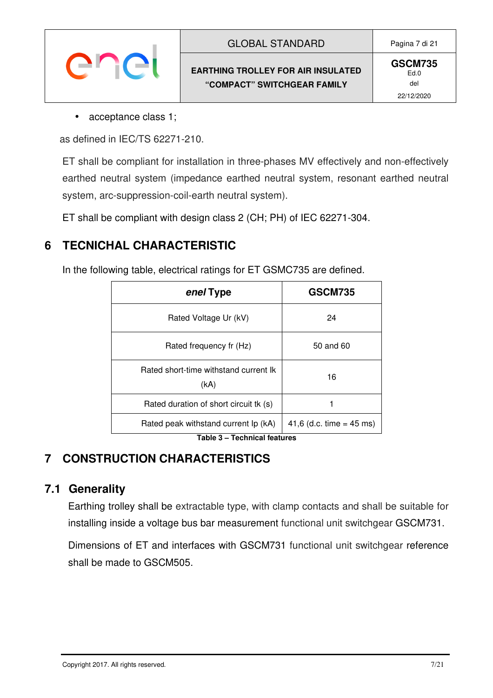| <b>GLOBAL STANDARD</b>                                                   | Pagina 7 di 21                              |
|--------------------------------------------------------------------------|---------------------------------------------|
| <b>EARTHING TROLLEY FOR AIR INSULATED</b><br>"COMPACT" SWITCHGEAR FAMILY | <b>GSCM735</b><br>Ed.0<br>del<br>22/12/2020 |

• acceptance class 1;

as defined in IEC/TS 62271-210.

ET shall be compliant for installation in three-phases MV effectively and non-effectively earthed neutral system (impedance earthed neutral system, resonant earthed neutral system, arc-suppression-coil-earth neutral system).

ET shall be compliant with design class 2 (CH; PH) of IEC 62271-304.

# **6 TECNICHAL CHARACTERISTIC**

In the following table, electrical ratings for ET GSMC735 are defined.

| enel Type                                     | <b>GSCM735</b>             |
|-----------------------------------------------|----------------------------|
| Rated Voltage Ur (kV)                         | 24                         |
| Rated frequency fr (Hz)                       | 50 and 60                  |
| Rated short-time withstand current Ik<br>(kA) | 16                         |
| Rated duration of short circuit tk (s)        |                            |
| Rated peak withstand current Ip (kA)          | 41,6 (d.c. time = $45$ ms) |

**Table 3 – Technical features** 

# **7 CONSTRUCTION CHARACTERISTICS**

#### **7.1 Generality**

Earthing trolley shall be extractable type, with clamp contacts and shall be suitable for installing inside a voltage bus bar measurement functional unit switchgear GSCM731.

Dimensions of ET and interfaces with GSCM731 functional unit switchgear reference shall be made to GSCM505.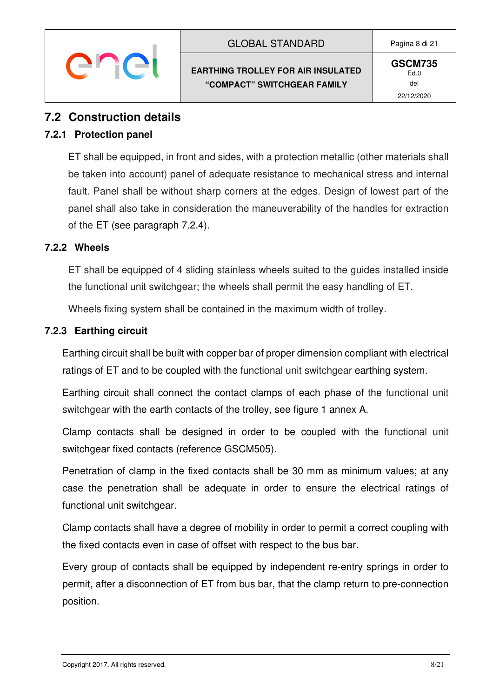**GSCM735** Ed.0 del 22/12/2020

#### **7.2 Construction details**

#### **7.2.1 Protection panel**

ET shall be equipped, in front and sides, with a protection metallic (other materials shall be taken into account) panel of adequate resistance to mechanical stress and internal fault. Panel shall be without sharp corners at the edges. Design of lowest part of the panel shall also take in consideration the maneuverability of the handles for extraction of the ET (see paragraph 7.2.4).

#### **7.2.2 Wheels**

ET shall be equipped of 4 sliding stainless wheels suited to the guides installed inside the functional unit switchgear; the wheels shall permit the easy handling of ET.

Wheels fixing system shall be contained in the maximum width of trolley.

#### **7.2.3 Earthing circuit**

Earthing circuit shall be built with copper bar of proper dimension compliant with electrical ratings of ET and to be coupled with the functional unit switchgear earthing system.

Earthing circuit shall connect the contact clamps of each phase of the functional unit switchgear with the earth contacts of the trolley, see figure 1 annex A.

Clamp contacts shall be designed in order to be coupled with the functional unit switchgear fixed contacts (reference GSCM505).

Penetration of clamp in the fixed contacts shall be 30 mm as minimum values; at any case the penetration shall be adequate in order to ensure the electrical ratings of functional unit switchgear.

Clamp contacts shall have a degree of mobility in order to permit a correct coupling with the fixed contacts even in case of offset with respect to the bus bar.

Every group of contacts shall be equipped by independent re-entry springs in order to permit, after a disconnection of ET from bus bar, that the clamp return to pre-connection position.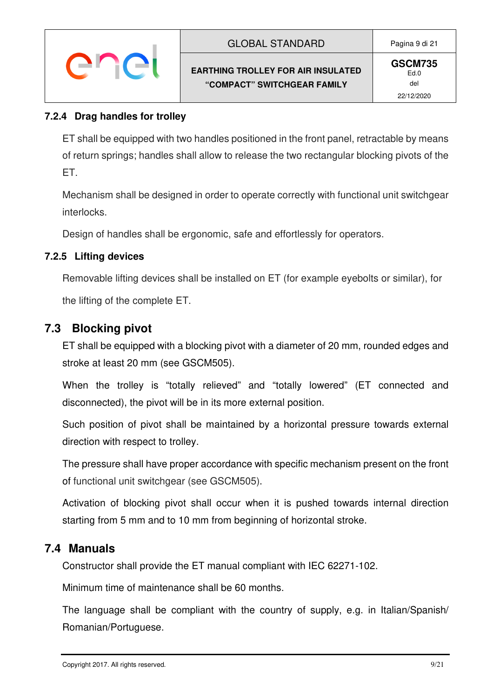#### **7.2.4 Drag handles for trolley**

ET shall be equipped with two handles positioned in the front panel, retractable by means of return springs; handles shall allow to release the two rectangular blocking pivots of the ET.

Mechanism shall be designed in order to operate correctly with functional unit switchgear interlocks.

Design of handles shall be ergonomic, safe and effortlessly for operators.

#### **7.2.5 Lifting devices**

Removable lifting devices shall be installed on ET (for example eyebolts or similar), for

the lifting of the complete ET.

#### **7.3 Blocking pivot**

ET shall be equipped with a blocking pivot with a diameter of 20 mm, rounded edges and stroke at least 20 mm (see GSCM505).

When the trolley is "totally relieved" and "totally lowered" (ET connected and disconnected), the pivot will be in its more external position.

Such position of pivot shall be maintained by a horizontal pressure towards external direction with respect to trolley.

The pressure shall have proper accordance with specific mechanism present on the front of functional unit switchgear (see GSCM505).

Activation of blocking pivot shall occur when it is pushed towards internal direction starting from 5 mm and to 10 mm from beginning of horizontal stroke.

#### **7.4 Manuals**

Constructor shall provide the ET manual compliant with IEC 62271-102.

Minimum time of maintenance shall be 60 months.

The language shall be compliant with the country of supply, e.g. in Italian/Spanish/ Romanian/Portuguese.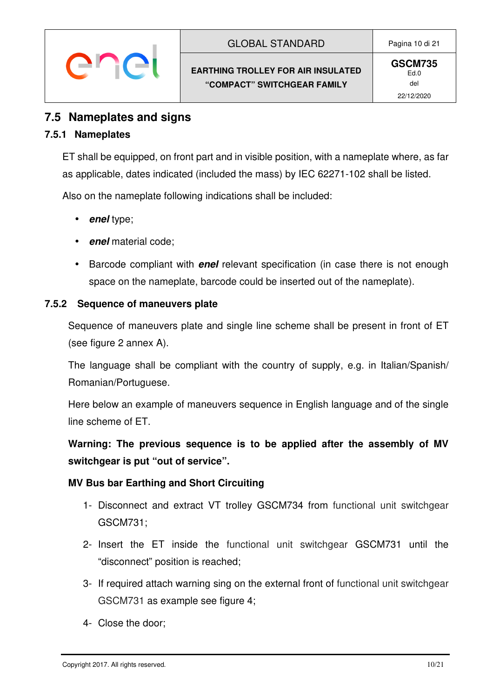#### **7.5 Nameplates and signs**

#### **7.5.1 Nameplates**

ET shall be equipped, on front part and in visible position, with a nameplate where, as far as applicable, dates indicated (included the mass) by IEC 62271-102 shall be listed.

Also on the nameplate following indications shall be included:

- **enel** type;
- **enel** material code;
- Barcode compliant with **enel** relevant specification (in case there is not enough space on the nameplate, barcode could be inserted out of the nameplate).

#### **7.5.2 Sequence of maneuvers plate**

Sequence of maneuvers plate and single line scheme shall be present in front of ET (see figure 2 annex A).

The language shall be compliant with the country of supply, e.g. in Italian/Spanish/ Romanian/Portuguese.

Here below an example of maneuvers sequence in English language and of the single line scheme of ET.

**Warning: The previous sequence is to be applied after the assembly of MV switchgear is put "out of service".** 

#### **MV Bus bar Earthing and Short Circuiting**

- 1- Disconnect and extract VT trolley GSCM734 from functional unit switchgear GSCM731;
- 2- Insert the ET inside the functional unit switchgear GSCM731 until the "disconnect" position is reached;
- 3- If required attach warning sing on the external front of functional unit switchgear GSCM731 as example see figure 4;
- 4- Close the door;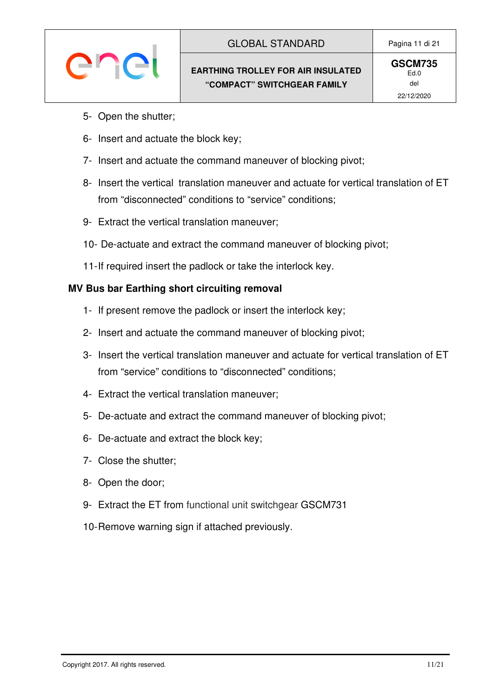# enei

- 5- Open the shutter;
- 6- Insert and actuate the block key;
- 7- Insert and actuate the command maneuver of blocking pivot;
- 8- Insert the vertical translation maneuver and actuate for vertical translation of ET from "disconnected" conditions to "service" conditions;
- 9- Extract the vertical translation maneuver;
- 10- De-actuate and extract the command maneuver of blocking pivot;
- 11- If required insert the padlock or take the interlock key.

#### **MV Bus bar Earthing short circuiting removal**

- 1- If present remove the padlock or insert the interlock key;
- 2- Insert and actuate the command maneuver of blocking pivot;
- 3- Insert the vertical translation maneuver and actuate for vertical translation of ET from "service" conditions to "disconnected" conditions;
- 4- Extract the vertical translation maneuver;
- 5- De-actuate and extract the command maneuver of blocking pivot;
- 6- De-actuate and extract the block key;
- 7- Close the shutter;
- 8- Open the door;
- 9- Extract the ET from functional unit switchgear GSCM731
- 10- Remove warning sign if attached previously.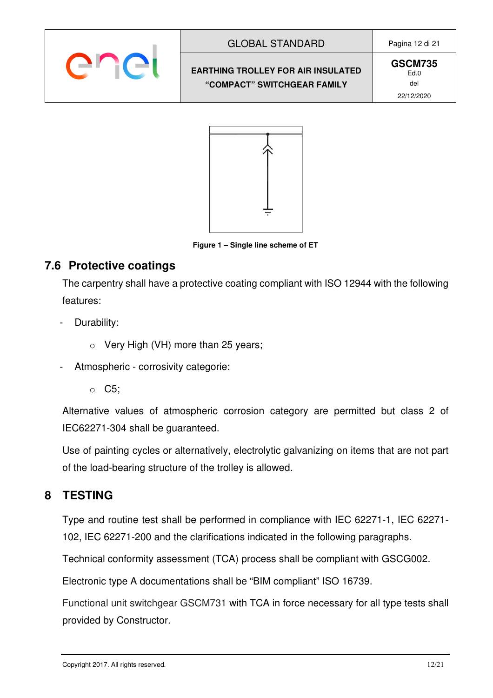

#### GLOBAL STANDARD | Pagina 12 di 21

**EARTHING TROLLEY FOR AIR INSULATED "COMPACT" SWITCHGEAR FAMILY** 

**GSCM735** Ed.0 del 22/12/2020



**Figure 1 – Single line scheme of ET** 

# **7.6 Protective coatings**

The carpentry shall have a protective coating compliant with ISO 12944 with the following features:

- Durability:
	- $\circ$  Very High (VH) more than 25 years;
- Atmospheric corrosivity categorie:
	- o C5;

Alternative values of atmospheric corrosion category are permitted but class 2 of IEC62271-304 shall be guaranteed.

Use of painting cycles or alternatively, electrolytic galvanizing on items that are not part of the load-bearing structure of the trolley is allowed.

# **8 TESTING**

Type and routine test shall be performed in compliance with IEC 62271-1, IEC 62271- 102, IEC 62271-200 and the clarifications indicated in the following paragraphs.

Technical conformity assessment (TCA) process shall be compliant with GSCG002.

Electronic type A documentations shall be "BIM compliant" ISO 16739.

Functional unit switchgear GSCM731 with TCA in force necessary for all type tests shall provided by Constructor.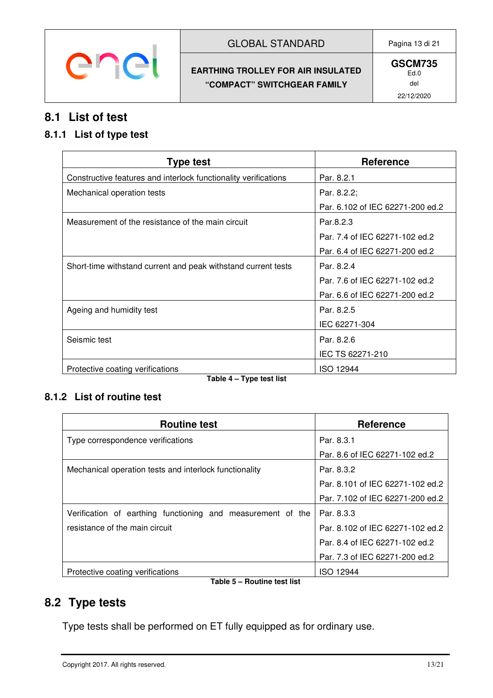

#### GLOBAL STANDARD Pagina 13 di 21

#### **EARTHING TROLLEY FOR AIR INSULATED "COMPACT" SWITCHGEAR FAMILY**

### **8.1 List of test**

#### **8.1.1 List of type test**

| <b>Type test</b>                                                | <b>Reference</b>                 |
|-----------------------------------------------------------------|----------------------------------|
| Constructive features and interlock functionality verifications | Par. 8.2.1                       |
| Mechanical operation tests                                      | Par. 8.2.2;                      |
|                                                                 | Par. 6.102 of IEC 62271-200 ed.2 |
| Measurement of the resistance of the main circuit               | Par.8.2.3                        |
|                                                                 | Par. 7.4 of IEC 62271-102 ed.2   |
|                                                                 | Par. 6.4 of IEC 62271-200 ed.2   |
| Short-time withstand current and peak withstand current tests   | Par. 8.2.4                       |
|                                                                 | Par. 7.6 of IEC 62271-102 ed.2   |
|                                                                 | Par. 6.6 of IEC 62271-200 ed.2   |
| Ageing and humidity test                                        | Par. 8.2.5                       |
|                                                                 | IEC 62271-304                    |
| Seismic test                                                    | Par. 8.2.6                       |
|                                                                 | IEC TS 62271-210                 |
| Protective coating verifications<br>_ _<br>.  .                 | <b>ISO 12944</b>                 |

**Table 4 – Type test list** 

#### **8.1.2 List of routine test**

| <b>Routine test</b>                                                                                                                                                                                                                                                | <b>Reference</b>                 |  |
|--------------------------------------------------------------------------------------------------------------------------------------------------------------------------------------------------------------------------------------------------------------------|----------------------------------|--|
| Type correspondence verifications                                                                                                                                                                                                                                  | Par. 8.3.1                       |  |
|                                                                                                                                                                                                                                                                    | Par. 8.6 of IEC 62271-102 ed.2   |  |
| Mechanical operation tests and interlock functionality                                                                                                                                                                                                             | Par. 8.3.2                       |  |
|                                                                                                                                                                                                                                                                    | Par. 8.101 of IEC 62271-102 ed.2 |  |
|                                                                                                                                                                                                                                                                    | Par. 7.102 of IEC 62271-200 ed.2 |  |
| Verification of earthing functioning and measurement of the                                                                                                                                                                                                        | Par. 8.3.3                       |  |
| resistance of the main circuit                                                                                                                                                                                                                                     | Par. 8.102 of IEC 62271-102 ed.2 |  |
|                                                                                                                                                                                                                                                                    | Par, 8.4 of IEC 62271-102 ed.2   |  |
|                                                                                                                                                                                                                                                                    | Par. 7.3 of IEC 62271-200 ed.2   |  |
| Protective coating verifications<br>The contract of the Mark Property of the Contract of the Contract of the Contract of the Contract of the Contract of the Contract of the Contract of the Contract of the Contract of the Contract of the Contract of the Contr | <b>ISO 12944</b>                 |  |

**Table 5 – Routine test list** 

#### **8.2 Type tests**

Type tests shall be performed on ET fully equipped as for ordinary use.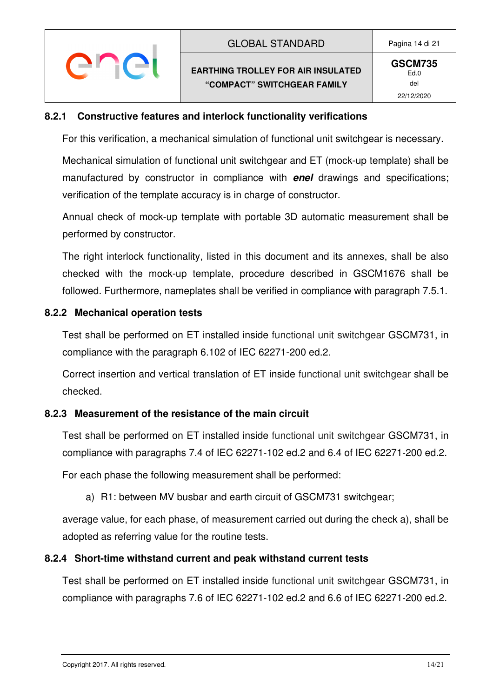# ener

#### **8.2.1 Constructive features and interlock functionality verifications**

For this verification, a mechanical simulation of functional unit switchgear is necessary.

Mechanical simulation of functional unit switchgear and ET (mock-up template) shall be manufactured by constructor in compliance with **enel** drawings and specifications; verification of the template accuracy is in charge of constructor.

Annual check of mock-up template with portable 3D automatic measurement shall be performed by constructor.

The right interlock functionality, listed in this document and its annexes, shall be also checked with the mock-up template, procedure described in GSCM1676 shall be followed. Furthermore, nameplates shall be verified in compliance with paragraph 7.5.1.

#### **8.2.2 Mechanical operation tests**

Test shall be performed on ET installed inside functional unit switchgear GSCM731, in compliance with the paragraph 6.102 of IEC 62271-200 ed.2.

Correct insertion and vertical translation of ET inside functional unit switchgear shall be checked.

#### **8.2.3 Measurement of the resistance of the main circuit**

Test shall be performed on ET installed inside functional unit switchgear GSCM731, in compliance with paragraphs 7.4 of IEC 62271-102 ed.2 and 6.4 of IEC 62271-200 ed.2.

For each phase the following measurement shall be performed:

a) R1: between MV busbar and earth circuit of GSCM731 switchgear;

average value, for each phase, of measurement carried out during the check a), shall be adopted as referring value for the routine tests.

#### **8.2.4 Short-time withstand current and peak withstand current tests**

Test shall be performed on ET installed inside functional unit switchgear GSCM731, in compliance with paragraphs 7.6 of IEC 62271-102 ed.2 and 6.6 of IEC 62271-200 ed.2.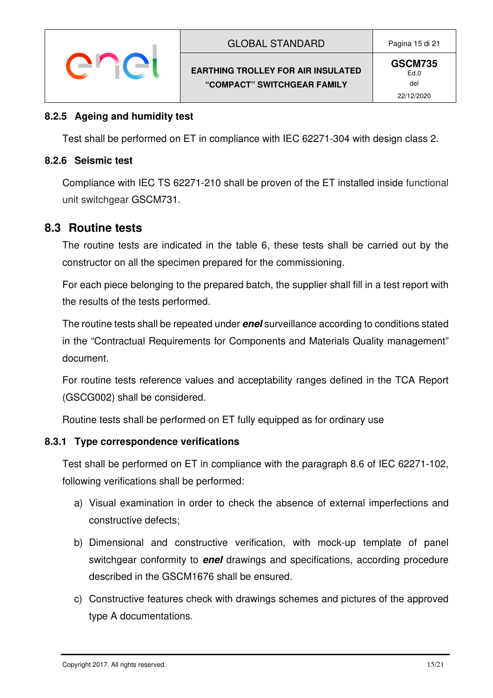#### **8.2.5 Ageing and humidity test**

enei

Test shall be performed on ET in compliance with IEC 62271-304 with design class 2.

#### **8.2.6 Seismic test**

Compliance with IEC TS 62271-210 shall be proven of the ET installed inside functional unit switchgear GSCM731.

#### **8.3 Routine tests**

The routine tests are indicated in the table 6, these tests shall be carried out by the constructor on all the specimen prepared for the commissioning.

For each piece belonging to the prepared batch, the supplier shall fill in a test report with the results of the tests performed.

The routine tests shall be repeated under **enel** surveillance according to conditions stated in the "Contractual Requirements for Components and Materials Quality management" document.

For routine tests reference values and acceptability ranges defined in the TCA Report (GSCG002) shall be considered.

Routine tests shall be performed on ET fully equipped as for ordinary use

#### **8.3.1 Type correspondence verifications**

Test shall be performed on ET in compliance with the paragraph 8.6 of IEC 62271-102, following verifications shall be performed:

- a) Visual examination in order to check the absence of external imperfections and constructive defects;
- b) Dimensional and constructive verification, with mock-up template of panel switchgear conformity to **enel** drawings and specifications, according procedure described in the GSCM1676 shall be ensured.
- c) Constructive features check with drawings schemes and pictures of the approved type A documentations.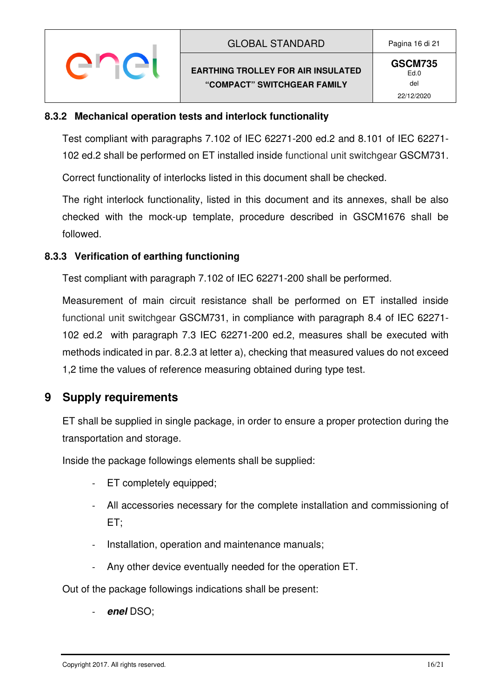# ener

#### **8.3.2 Mechanical operation tests and interlock functionality**

Test compliant with paragraphs 7.102 of IEC 62271-200 ed.2 and 8.101 of IEC 62271- 102 ed.2 shall be performed on ET installed inside functional unit switchgear GSCM731.

Correct functionality of interlocks listed in this document shall be checked.

The right interlock functionality, listed in this document and its annexes, shall be also checked with the mock-up template, procedure described in GSCM1676 shall be followed.

#### **8.3.3 Verification of earthing functioning**

Test compliant with paragraph 7.102 of IEC 62271-200 shall be performed.

Measurement of main circuit resistance shall be performed on ET installed inside functional unit switchgear GSCM731, in compliance with paragraph 8.4 of IEC 62271- 102 ed.2 with paragraph 7.3 IEC 62271-200 ed.2, measures shall be executed with methods indicated in par. 8.2.3 at letter a), checking that measured values do not exceed 1,2 time the values of reference measuring obtained during type test.

# **9 Supply requirements**

ET shall be supplied in single package, in order to ensure a proper protection during the transportation and storage.

Inside the package followings elements shall be supplied:

- ET completely equipped;
- All accessories necessary for the complete installation and commissioning of ET;
- Installation, operation and maintenance manuals;
- Any other device eventually needed for the operation ET.

Out of the package followings indications shall be present:

- **enel** DSO;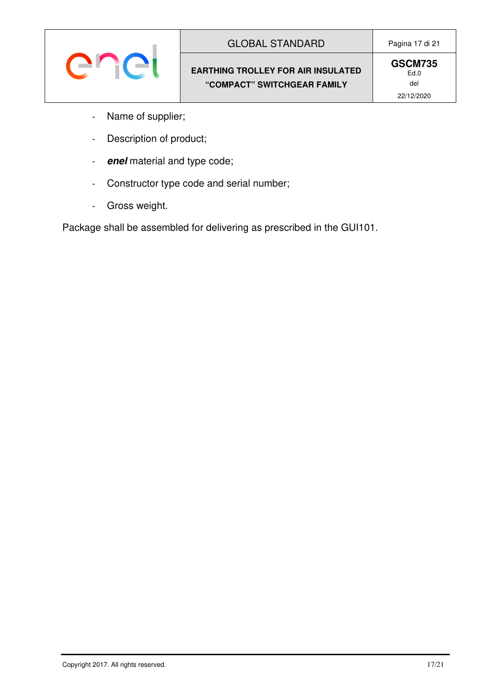

**GSCM735** Ed.0 del 22/12/2020

- Name of supplier;
- Description of product;
- **enel** material and type code;
- Constructor type code and serial number;
- Gross weight.

Package shall be assembled for delivering as prescribed in the GUI101.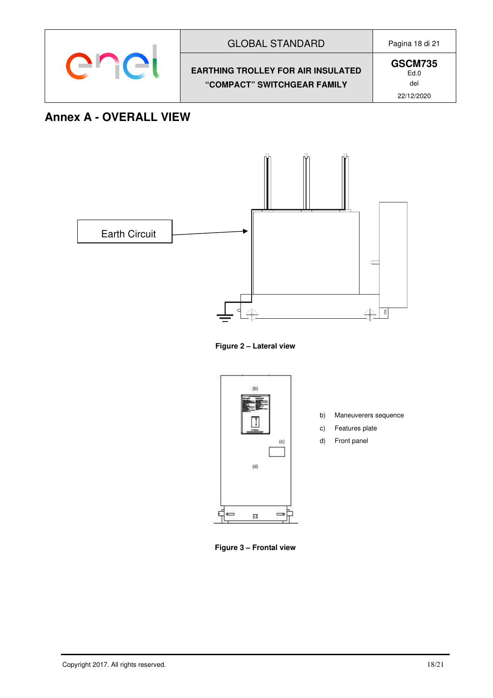

# **Annex A - OVERALL VIEW**



**Figure 2 – Lateral view** 



- b) Maneuverers sequence
- c) Features plate
- d) Front panel

**Figure 3 – Frontal view**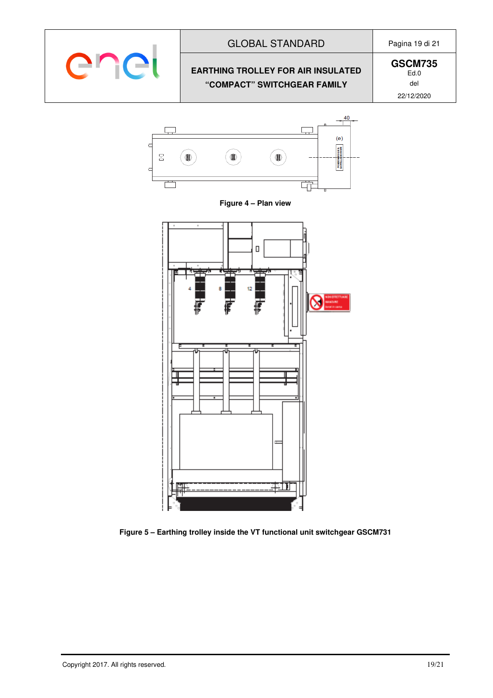

#### GLOBAL STANDARD Pagina 19 di 21

#### **EARTHING TROLLEY FOR AIR INSULATED "COMPACT" SWITCHGEAR FAMILY**

**GSCM735** Ed.0 del 22/12/2020







**Figure 5 – Earthing trolley inside the VT functional unit switchgear GSCM731**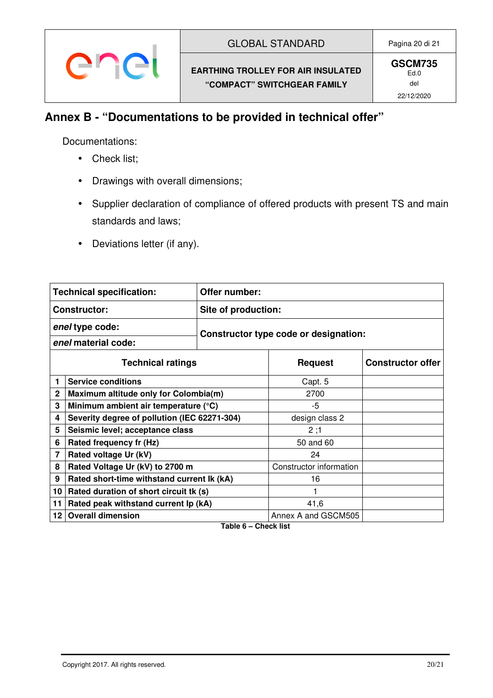### **Annex B - "Documentations to be provided in technical offer"**

Documentations:

- Check list;
- Drawings with overall dimensions;
- Supplier declaration of compliance of offered products with present TS and main standards and laws;
- Deviations letter (if any).

|                          | <b>Technical specification:</b>              | Offer number:       |                                       |  |
|--------------------------|----------------------------------------------|---------------------|---------------------------------------|--|
|                          | <b>Constructor:</b>                          | Site of production: |                                       |  |
| enel type code:          |                                              |                     | Constructor type code or designation: |  |
| enel material code:      |                                              |                     |                                       |  |
| <b>Technical ratings</b> |                                              | <b>Request</b>      | <b>Constructor offer</b>              |  |
|                          | <b>Service conditions</b>                    |                     | Capt. 5                               |  |
| $\mathbf{2}$             | Maximum altitude only for Colombia(m)        |                     | 2700                                  |  |
| 3                        | Minimum ambient air temperature (°C)         |                     | -5                                    |  |
| 4                        | Severity degree of pollution (IEC 62271-304) |                     | design class 2                        |  |
| 5                        | Seismic level; acceptance class              |                     | 2;1                                   |  |
| 6                        | Rated frequency fr (Hz)                      |                     | 50 and 60                             |  |
| 7                        | Rated voltage Ur (kV)                        |                     | 24                                    |  |
| 8                        | Rated Voltage Ur (kV) to 2700 m              |                     | Constructor information               |  |
| 9                        | Rated short-time withstand current Ik (kA)   |                     | 16                                    |  |
| 10                       | Rated duration of short circuit tk (s)       |                     |                                       |  |
| 11                       | Rated peak withstand current lp (kA)         |                     | 41,6                                  |  |
| 12 <sub>2</sub>          | <b>Overall dimension</b>                     |                     | Annex A and GSCM505                   |  |

**Table 6 – Check list**